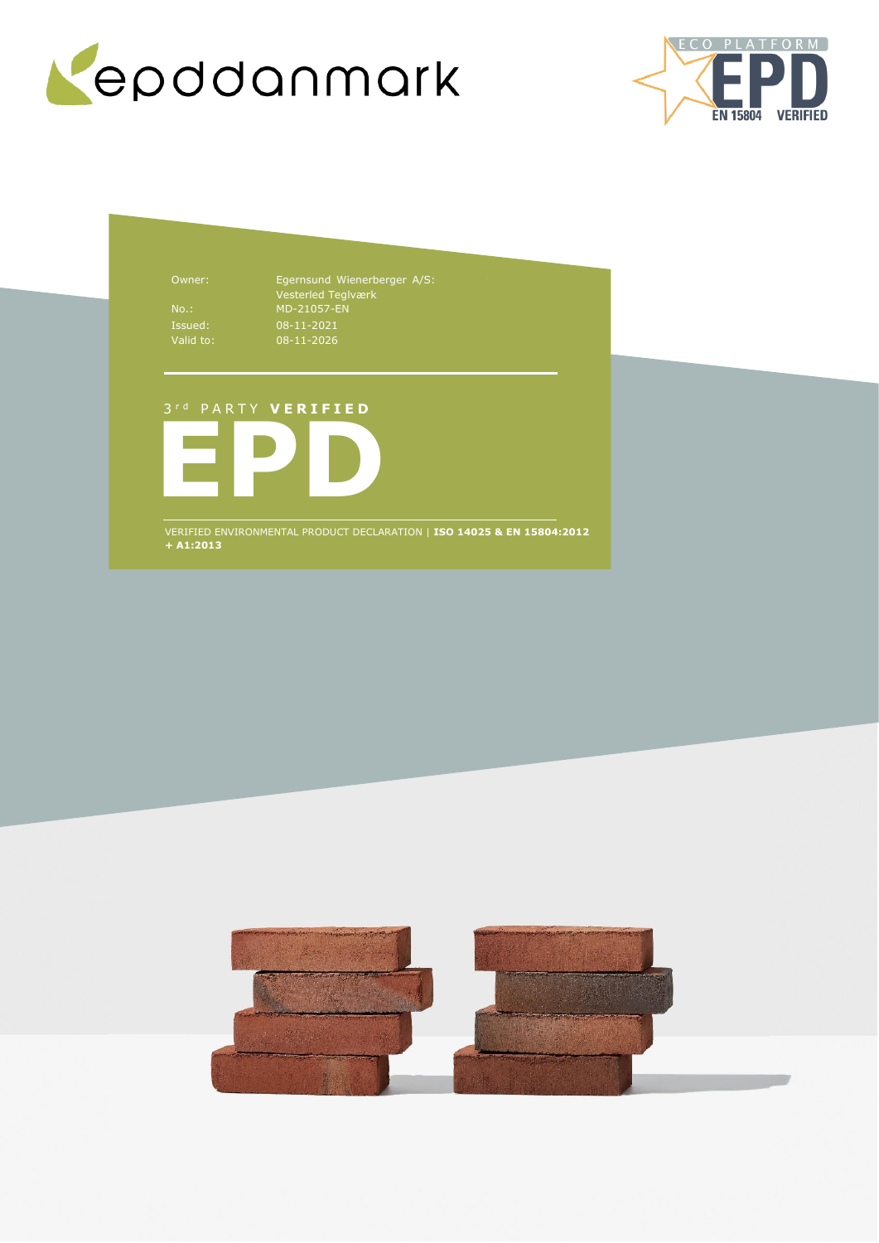



Owner: Egernsund Wienerberger A/S: Vesterled Teglværk No.: MD-21057-EN 08-11-2021 08-11-2026

# 3 r d P A R T Y **V E R I F I E D**



VERIFIED ENVIRONMENTAL PRODUCT DECLARATION | **ISO 14025 & EN 15804:2012 + A1:2013**

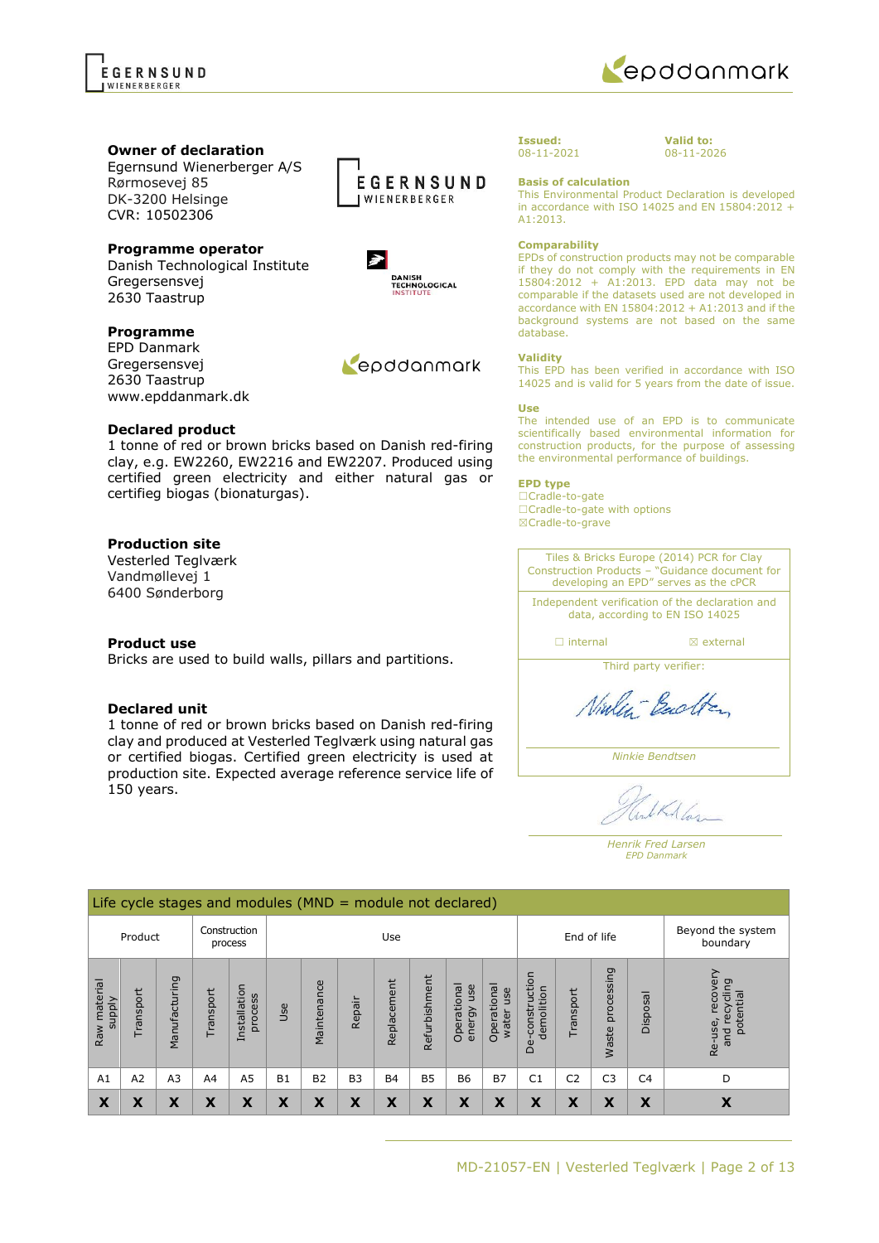

### **Owner of declaration**

Egernsund Wienerberger A/S Rørmosevej 85 DK-3200 Helsinge CVR: 10502306

# **Programme operator**

Danish Technological Institute Gregersensvej 2630 Taastrup

### **Programme**

EPD Danmark Gregersensvej 2630 Taastrup www.epddanmark.dk

### **Declared product**

1 tonne of red or brown bricks based on Danish red-firing clay, e.g. EW2260, EW2216 and EW2207. Produced using certified green electricity and either natural gas or certifieg biogas (bionaturgas).

# **Production site**

Vesterled Teglværk Vandmøllevej 1 6400 Sønderborg

### **Product use**

Bricks are used to build walls, pillars and partitions.

### **Declared unit**

1 tonne of red or brown bricks based on Danish red-firing clay and produced at Vesterled Teglværk using natural gas or certified biogas. Certified green electricity is used at production site. Expected average reference service life of 150 years.



DANISH<br>TECHNOLOGICAL<br>INSTITUTE

Repodanmark

 $\blacktriangleright$ 

**Issued:** 08-11-2021

**Valid to:** 08-11-2026

**Basis of calculation** This Environmental Product Declaration is developed in accordance with ISO 14025 and EN 15804:2012 + A1:2013.

### **Comparability**

EPDs of construction products may not be comparable if they do not comply with the requirements in EN 15804:2012 + A1:2013. EPD data may not be comparable if the datasets used are not developed in accordance with EN 15804:2012 + A1:2013 and if the background systems are not based on the same database.

#### **Validity**

This EPD has been verified in accordance with ISO 14025 and is valid for 5 years from the date of issue.

#### **Use**

The intended use of an EPD is to communicate scientifically based environmental information for construction products, for the purpose of assessing the environmental performance of buildings.

#### **EPD type**

☐Cradle-to-gate ☐Cradle-to-gate with options ☒Cradle-to-grave

Tiles & Bricks Europe (2014) PCR for Clay Construction Products – "Guidance document for developing an EPD" serves as the cPCR

Independent verification of the declaration and data, according to EN ISO 14025

□ internal **I I** axternal

Third party verifier:

Ninley-Backton

*Ninkie Bendtsen*

LKAlas

*Henrik Fred Larsen EPD Danmark*

|                               | Life cycle stages and modules ( $MND =$ module not declared) |                |                |                         |           |             |           |             |               |                              |                             |                                       |                               |                     |                |                                                         |
|-------------------------------|--------------------------------------------------------------|----------------|----------------|-------------------------|-----------|-------------|-----------|-------------|---------------|------------------------------|-----------------------------|---------------------------------------|-------------------------------|---------------------|----------------|---------------------------------------------------------|
| Product                       |                                                              |                |                | Construction<br>process |           | Use         |           |             | End of life   |                              |                             |                                       | Beyond the system<br>boundary |                     |                |                                                         |
| Raw material<br><b>Alddns</b> | ransport                                                     | Manufacturing  | ransport       | Installation<br>process | Jse       | Maintenance | Repair    | Replacement | Refurbishment | Operational<br>use<br>energy | Operational<br>use<br>water | construction<br>demolition<br>e<br>De | Transport                     | processing<br>Waste | Disposal       | ≧<br>recover<br>ecycling<br>potential<br>Re-use,<br>and |
| A1                            | A2                                                           | A <sub>3</sub> | A <sub>4</sub> | A <sub>5</sub>          | <b>B1</b> | <b>B2</b>   | <b>B3</b> | <b>B4</b>   | <b>B5</b>     | <b>B6</b>                    | <b>B7</b>                   | C <sub>1</sub>                        | C <sub>2</sub>                | C <sub>3</sub>      | C <sub>4</sub> | D                                                       |
| X                             | X                                                            | X              | X              | X                       | X         | X           | X         | X           | X             | X                            | X                           | X                                     | X                             | Χ                   | X              | X                                                       |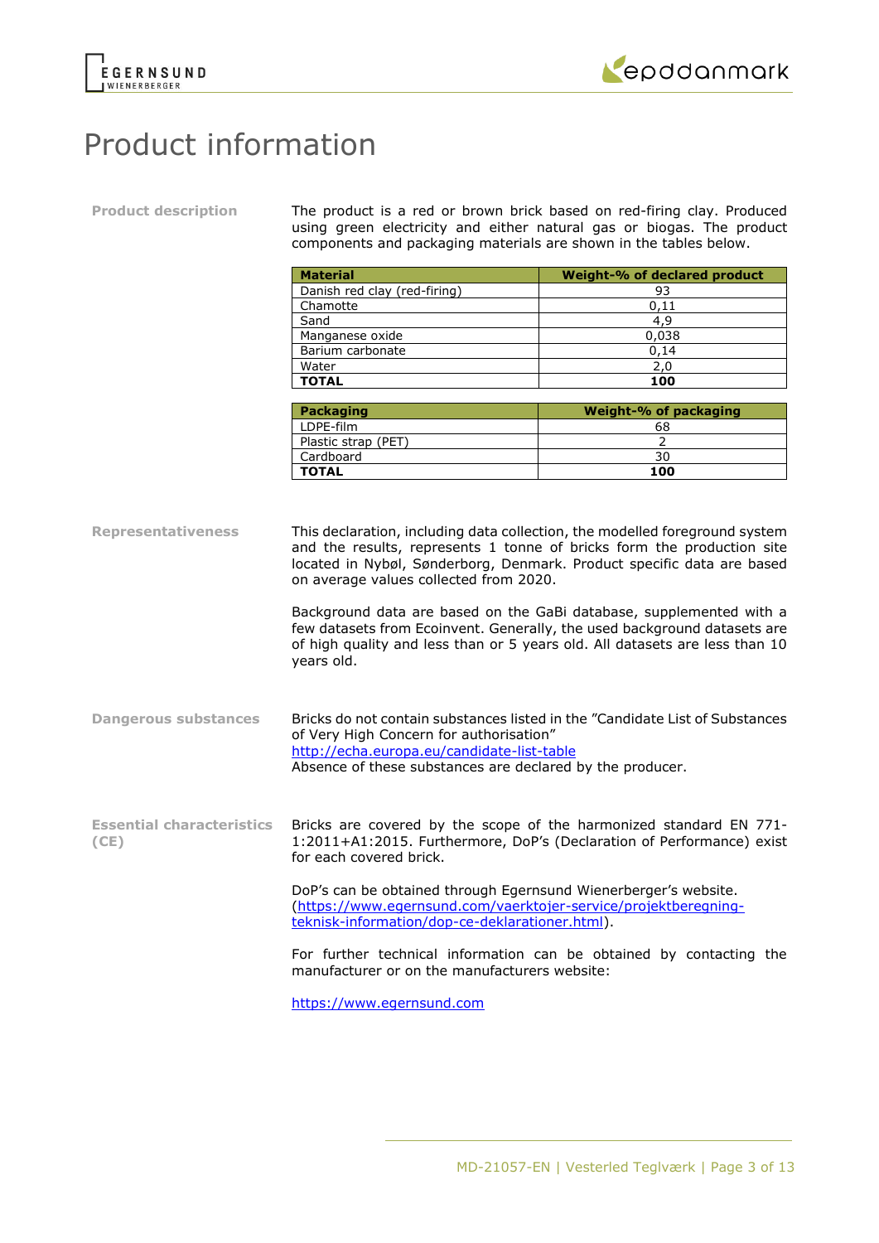



# Product information

**Product description** The product is a red or brown brick based on red-firing clay. Produced using green electricity and either natural gas or biogas. The product components and packaging materials are shown in the tables below.

| <b>Material</b>              | Weight-% of declared product |
|------------------------------|------------------------------|
| Danish red clay (red-firing) | 93                           |
| Chamotte                     | 0.11                         |
| Sand                         | 4.9                          |
| Manganese oxide              | 0,038                        |
| Barium carbonate             | 0,14                         |
| Water                        | 2,0                          |
| <b>TOTAL</b>                 | 100                          |

| <b>Packaging</b>    | Weight-% of packaging |
|---------------------|-----------------------|
| I DPF-film          | 68                    |
| Plastic strap (PET) |                       |
| Cardboard           | 30                    |
| <b>TOTAL</b>        | 100                   |

**Representativeness** This declaration, including data collection, the modelled foreground system and the results, represents 1 tonne of bricks form the production site located in Nybøl, Sønderborg, Denmark. Product specific data are based on average values collected from 2020.

Background data are based on the GaBi database, supplemented with a few datasets from Ecoinvent. Generally, the used background datasets are of high quality and less than or 5 years old. All datasets are less than 10 years old.

**Dangerous substances** Bricks do not contain substances listed in the "Candidate List of Substances of Very High Concern for authorisation" <http://echa.europa.eu/candidate-list-table> Absence of these substances are declared by the producer.

**Essential characteristics (CE)** Bricks are covered by the scope of the harmonized standard EN 771- 1:2011+A1:2015. Furthermore, DoP's (Declaration of Performance) exist for each covered brick.

> DoP's can be obtained through Egernsund Wienerberger's website. [\(https://www.egernsund.com/vaerktojer-service/projektberegning](https://www.egernsund.com/vaerktojer-service/projektberegning-teknisk-information/dop-ce-deklarationer.html)[teknisk-information/dop-ce-deklarationer.html\)](https://www.egernsund.com/vaerktojer-service/projektberegning-teknisk-information/dop-ce-deklarationer.html).

For further technical information can be obtained by contacting the manufacturer or on the manufacturers website:

[https://www.egernsund.com](https://www.egernsund.com/)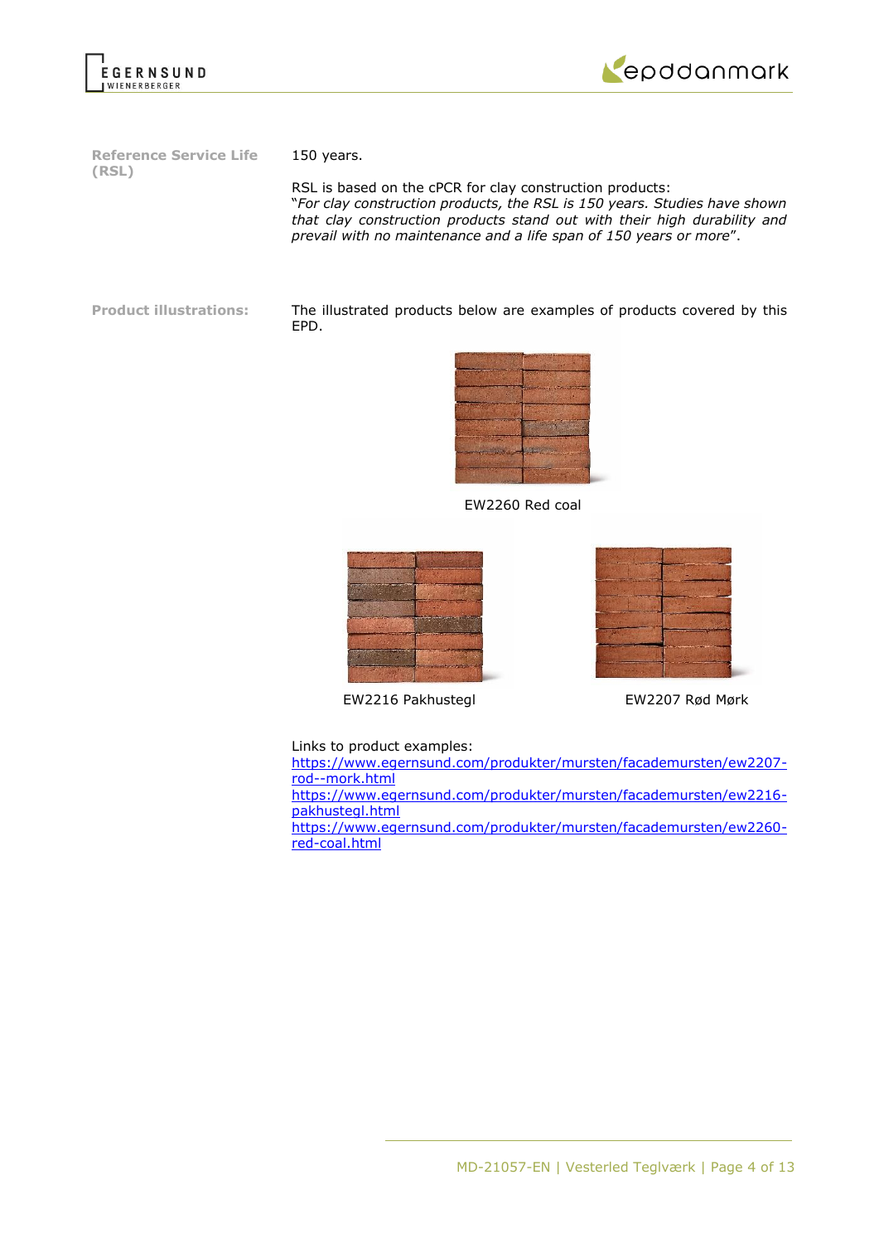



**Reference Service Life (RSL)**

150 years.

RSL is based on the cPCR for clay construction products: "*For clay construction products, the RSL is 150 years. Studies have shown that clay construction products stand out with their high durability and prevail with no maintenance and a life span of 150 years or more*".

**Product illustrations:** The illustrated products below are examples of products covered by this EPD.



EW2260 Red coal



EW2216 Pakhustegl EW2207 Rød Mørk

Links to product examples:

[https://www.egernsund.com/produkter/mursten/facademursten/ew2207](https://www.egernsund.com/produkter/mursten/facademursten/ew2207-rod--mork.html) [rod--mork.html](https://www.egernsund.com/produkter/mursten/facademursten/ew2207-rod--mork.html) [https://www.egernsund.com/produkter/mursten/facademursten/ew2216-](https://www.egernsund.com/produkter/mursten/facademursten/ew2216-pakhustegl.html)

[pakhustegl.html](https://www.egernsund.com/produkter/mursten/facademursten/ew2216-pakhustegl.html)

[https://www.egernsund.com/produkter/mursten/facademursten/ew2260](https://www.egernsund.com/produkter/mursten/facademursten/ew2260-red-coal.html) [red-coal.html](https://www.egernsund.com/produkter/mursten/facademursten/ew2260-red-coal.html)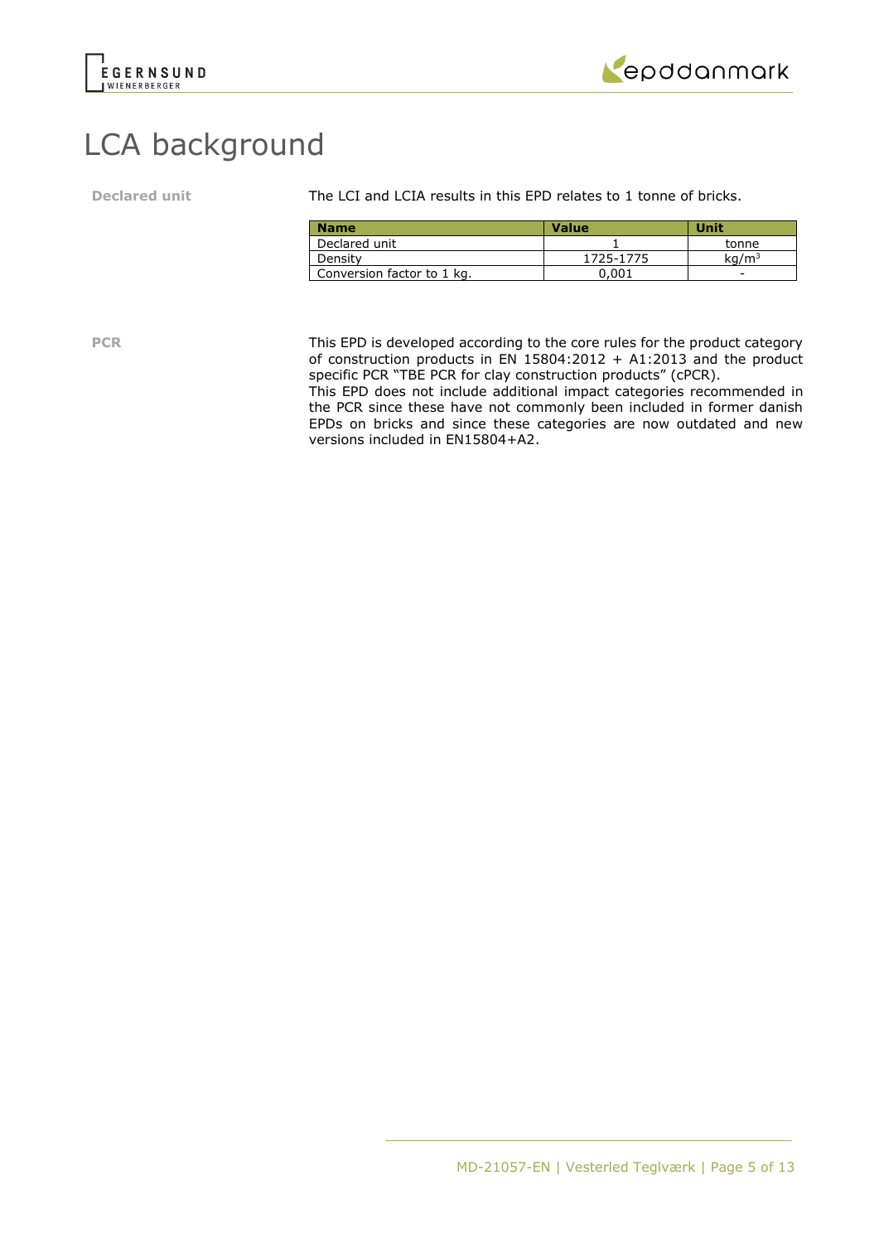



# LCA background

**Declared unit** The LCI and LCIA results in this EPD relates to 1 tonne of bricks.

| <b>Name</b>                | <b>Value</b> | Unit              |
|----------------------------|--------------|-------------------|
| Declared unit              |              | tonne             |
| Density                    | 1725-1775    | kq/m <sup>3</sup> |
| Conversion factor to 1 kg. | 0.001        | -                 |

**PCR** This EPD is developed according to the core rules for the product category of construction products in EN  $15804:2012 + A1:2013$  and the product specific PCR "TBE PCR for clay construction products" (cPCR).

This EPD does not include additional impact categories recommended in the PCR since these have not commonly been included in former danish EPDs on bricks and since these categories are now outdated and new versions included in EN15804+A2.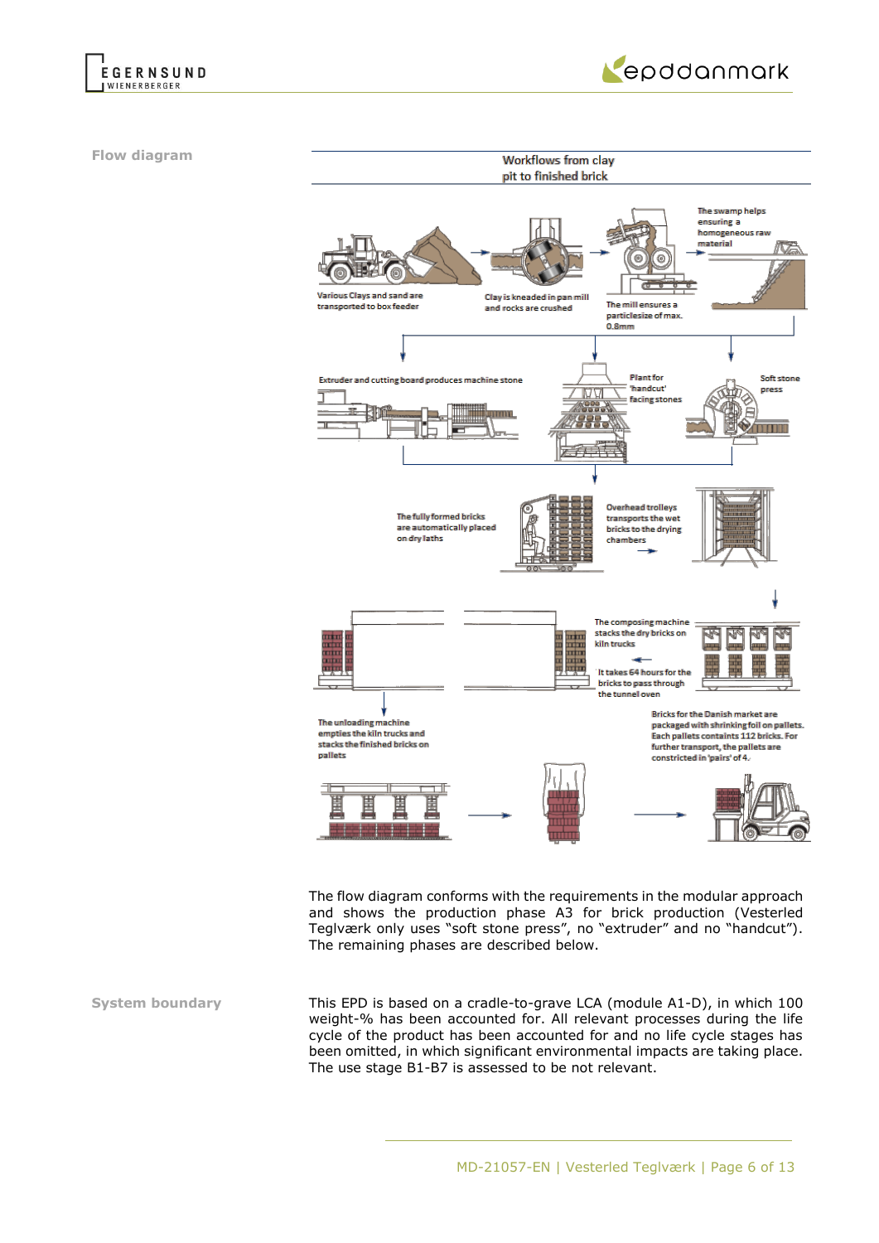



**Flow diagram**



The flow diagram conforms with the requirements in the modular approach and shows the production phase A3 for brick production (Vesterled Teglværk only uses "soft stone press", no "extruder" and no "handcut"). The remaining phases are described below.

**System boundary** This EPD is based on a cradle-to-grave LCA (module A1-D), in which 100 weight-% has been accounted for. All relevant processes during the life cycle of the product has been accounted for and no life cycle stages has been omitted, in which significant environmental impacts are taking place. The use stage B1-B7 is assessed to be not relevant.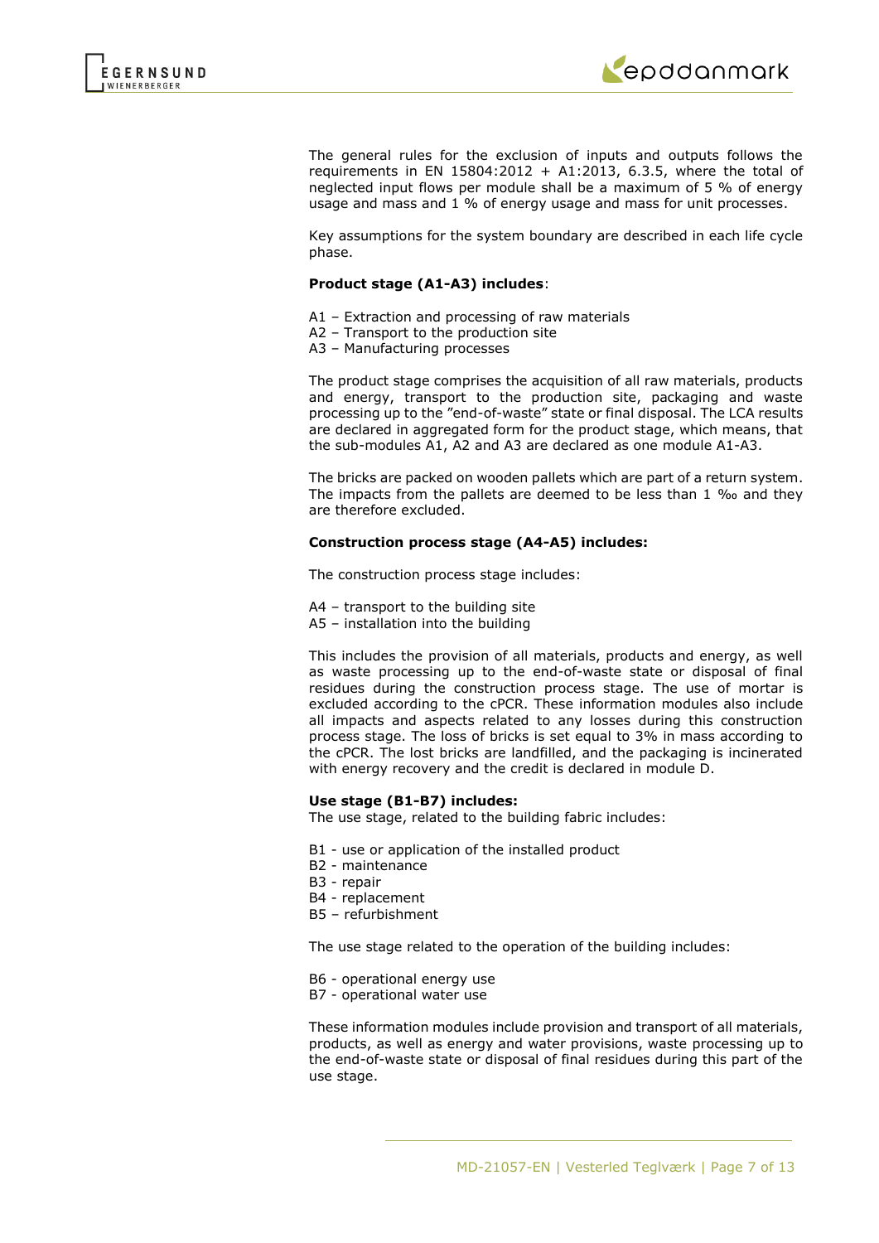

The general rules for the exclusion of inputs and outputs follows the requirements in EN 15804:2012 + A1:2013, 6.3.5, where the total of neglected input flows per module shall be a maximum of 5 % of energy usage and mass and 1 % of energy usage and mass for unit processes.

Key assumptions for the system boundary are described in each life cycle phase.

### **Product stage (A1-A3) includes**:

- A1 Extraction and processing of raw materials
- A2 Transport to the production site
- A3 Manufacturing processes

The product stage comprises the acquisition of all raw materials, products and energy, transport to the production site, packaging and waste processing up to the "end-of-waste" state or final disposal. The LCA results are declared in aggregated form for the product stage, which means, that the sub-modules A1, A2 and A3 are declared as one module A1-A3.

The bricks are packed on wooden pallets which are part of a return system. The impacts from the pallets are deemed to be less than 1 ‰ and they are therefore excluded.

### **Construction process stage (A4-A5) includes:**

The construction process stage includes:

- A4 transport to the building site
- A5 installation into the building

This includes the provision of all materials, products and energy, as well as waste processing up to the end-of-waste state or disposal of final residues during the construction process stage. The use of mortar is excluded according to the cPCR. These information modules also include all impacts and aspects related to any losses during this construction process stage. The loss of bricks is set equal to 3% in mass according to the cPCR. The lost bricks are landfilled, and the packaging is incinerated with energy recovery and the credit is declared in module D.

### **Use stage (B1-B7) includes:**

The use stage, related to the building fabric includes:

- B1 use or application of the installed product
- B2 maintenance
- B3 repair
- B4 replacement
- B5 refurbishment

The use stage related to the operation of the building includes:

- B6 operational energy use
- B7 operational water use

These information modules include provision and transport of all materials, products, as well as energy and water provisions, waste processing up to the end-of-waste state or disposal of final residues during this part of the use stage.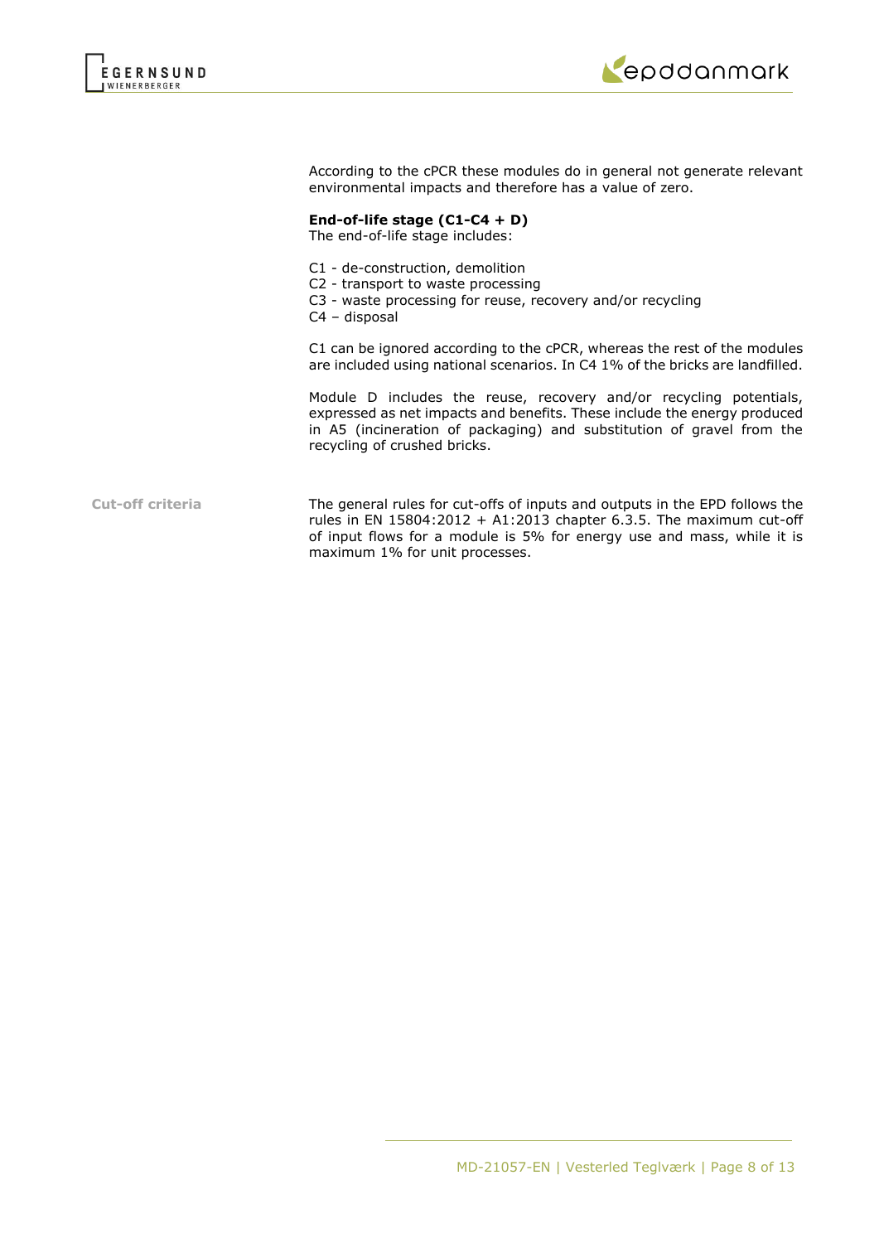



According to the cPCR these modules do in general not generate relevant environmental impacts and therefore has a value of zero.

# **End-of-life stage (C1-C4 + D)**

The end-of-life stage includes:

- C1 de-construction, demolition
- C2 transport to waste processing
- C3 waste processing for reuse, recovery and/or recycling
- C4 disposal

C1 can be ignored according to the cPCR, whereas the rest of the modules are included using national scenarios. In C4 1% of the bricks are landfilled.

Module D includes the reuse, recovery and/or recycling potentials, expressed as net impacts and benefits. These include the energy produced in A5 (incineration of packaging) and substitution of gravel from the recycling of crushed bricks.

**Cut-off criteria** The general rules for cut-offs of inputs and outputs in the EPD follows the rules in EN  $15804:2012 + A1:2013$  chapter 6.3.5. The maximum cut-off of input flows for a module is 5% for energy use and mass, while it is maximum 1% for unit processes.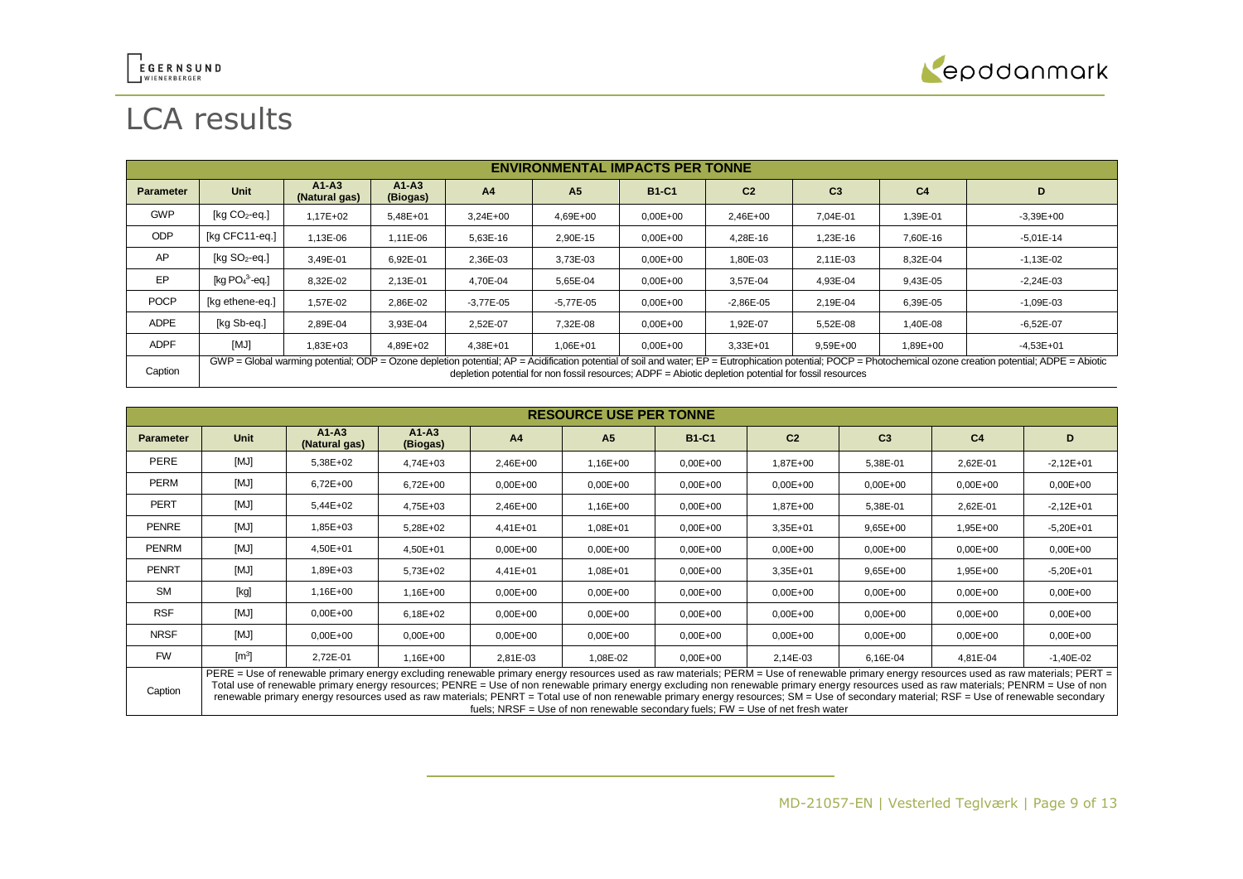

# LCA results

|                  | <b>ENVIRONMENTAL IMPACTS PER TONNE</b>                                                                                                                                                                                                                                                                                   |                          |                       |                |                |              |                |                |                |               |  |
|------------------|--------------------------------------------------------------------------------------------------------------------------------------------------------------------------------------------------------------------------------------------------------------------------------------------------------------------------|--------------------------|-----------------------|----------------|----------------|--------------|----------------|----------------|----------------|---------------|--|
| <b>Parameter</b> | Unit                                                                                                                                                                                                                                                                                                                     | $A1-A3$<br>(Natural gas) | $A1 - A3$<br>(Biogas) | A <sub>4</sub> | A <sub>5</sub> | <b>B1-C1</b> | C <sub>2</sub> | C <sub>3</sub> | C <sub>4</sub> | D             |  |
| <b>GWP</b>       | [ $kg CO2$ -eq.]                                                                                                                                                                                                                                                                                                         | $1.17E + 02$             | 5,48E+01              | $3.24E + 00$   | $4.69E + 00$   | $0,00E+00$   | 2,46E+00       | 7.04E-01       | 1,39E-01       | $-3,39E+00$   |  |
| <b>ODP</b>       | [kg CFC11-eg.]                                                                                                                                                                                                                                                                                                           | 1,13E-06                 | 1.11E-06              | 5,63E-16       | 2,90E-15       | $0.00E + 00$ | 4,28E-16       | 1,23E-16       | 7,60E-16       | $-5,01E-14$   |  |
| AP               | $[kq SO2-eq.]$                                                                                                                                                                                                                                                                                                           | 3,49E-01                 | 6,92E-01              | 2,36E-03       | 3,73E-03       | $0.00E + 00$ | 1,80E-03       | 2.11E-03       | 8,32E-04       | $-1,13E-02$   |  |
| EP               | [kg $PO43$ -eg.]                                                                                                                                                                                                                                                                                                         | 8,32E-02                 | 2,13E-01              | 4,70E-04       | 5,65E-04       | $0,00E+00$   | 3,57E-04       | 4,93E-04       | 9,43E-05       | $-2,24E-03$   |  |
| <b>POCP</b>      | [kg ethene-eg.]                                                                                                                                                                                                                                                                                                          | 1.57E-02                 | 2.86E-02              | $-3.77E - 05$  | $-5.77E - 05$  | $0.00E + 00$ | $-2.86E - 05$  | 2.19E-04       | 6.39E-05       | $-1.09E - 03$ |  |
| <b>ADPE</b>      | [kg Sb-eq.]                                                                                                                                                                                                                                                                                                              | 2,89E-04                 | 3,93E-04              | 2.52E-07       | 7,32E-08       | $0.00E + 00$ | 1.92E-07       | 5,52E-08       | 1,40E-08       | $-6,52E-07$   |  |
| <b>ADPF</b>      | [MJ]                                                                                                                                                                                                                                                                                                                     | 1,83E+03                 | 4.89E+02              | $4.38E + 01$   | $1.06E + 01$   | $0.00E + 00$ | 3,33E+01       | 9,59E+00       | 1,89E+00       | $-4,53E+01$   |  |
| Caption          | GWP = Global warming potential; ODP = Ozone depletion potential; AP = Acidification potential of soil and water; EP = Eutrophication potential; POCP = Photochemical ozone creation potential; ADPE = Abiotic<br>depletion potential for non fossil resources: $ADPF = Abiotic$ depletion potential for fossil resources |                          |                       |                |                |              |                |                |                |               |  |

|                  | <b>RESOURCE USE PER TONNE</b> |                                                                                                                                                                                                                                                                                                                                                                                                                                                                                                                                                                                 |                     |                |                |              |                                                                                   |                |                |              |
|------------------|-------------------------------|---------------------------------------------------------------------------------------------------------------------------------------------------------------------------------------------------------------------------------------------------------------------------------------------------------------------------------------------------------------------------------------------------------------------------------------------------------------------------------------------------------------------------------------------------------------------------------|---------------------|----------------|----------------|--------------|-----------------------------------------------------------------------------------|----------------|----------------|--------------|
| <b>Parameter</b> | <b>Unit</b>                   | $A1-A3$<br>(Natural gas)                                                                                                                                                                                                                                                                                                                                                                                                                                                                                                                                                        | $A1-A3$<br>(Biogas) | A <sub>4</sub> | A <sub>5</sub> | <b>B1-C1</b> | C <sub>2</sub>                                                                    | C <sub>3</sub> | C <sub>4</sub> | D            |
| PERE             | [MJ]                          | 5,38E+02                                                                                                                                                                                                                                                                                                                                                                                                                                                                                                                                                                        | 4,74E+03            | 2,46E+00       | 1,16E+00       | $0,00E+00$   | 1,87E+00                                                                          | 5,38E-01       | 2,62E-01       | $-2,12E+01$  |
| <b>PERM</b>      | [MJ]                          | 6,72E+00                                                                                                                                                                                                                                                                                                                                                                                                                                                                                                                                                                        | $6,72E+00$          | $0,00E + 00$   | $0,00E + 00$   | $0.00E + 00$ | $0,00E+00$                                                                        | $0,00E+00$     | $0,00E + 00$   | $0,00E+00$   |
| <b>PERT</b>      | [MJ]                          | 5,44E+02                                                                                                                                                                                                                                                                                                                                                                                                                                                                                                                                                                        | 4,75E+03            | 2,46E+00       | 1,16E+00       | $0.00E + 00$ | 1,87E+00                                                                          | 5,38E-01       | 2,62E-01       | $-2,12E+01$  |
| <b>PENRE</b>     | [MJ]                          | 1,85E+03                                                                                                                                                                                                                                                                                                                                                                                                                                                                                                                                                                        | 5,28E+02            | 4,41E+01       | 1,08E+01       | $0.00E + 00$ | $3,35E+01$                                                                        | $9,65E+00$     | 1,95E+00       | $-5,20E+01$  |
| <b>PENRM</b>     | [MJ]                          | 4,50E+01                                                                                                                                                                                                                                                                                                                                                                                                                                                                                                                                                                        | 4,50E+01            | $0.00E + 00$   | $0,00E + 00$   | $0,00E+00$   | $0,00E + 00$                                                                      | $0,00E+00$     | $0,00E + 00$   | $0,00E+00$   |
| <b>PENRT</b>     | [MJ]                          | 1,89E+03                                                                                                                                                                                                                                                                                                                                                                                                                                                                                                                                                                        | 5,73E+02            | $4,41E+01$     | 1,08E+01       | $0,00E+00$   | $3,35E+01$                                                                        | $9,65E+00$     | 1,95E+00       | $-5,20E+01$  |
| <b>SM</b>        | [kg]                          | 1,16E+00                                                                                                                                                                                                                                                                                                                                                                                                                                                                                                                                                                        | 1,16E+00            | $0.00E + 00$   | $0,00E+00$     | $0,00E+00$   | $0,00E + 00$                                                                      | $0,00E+00$     | $0,00E + 00$   | $0.00E + 00$ |
| <b>RSF</b>       | [MJ]                          | $0.00E + 00$                                                                                                                                                                                                                                                                                                                                                                                                                                                                                                                                                                    | 6,18E+02            | $0,00E + 00$   | $0,00E + 00$   | $0.00E + 00$ | $0,00E+00$                                                                        | $0,00E+00$     | $0,00E + 00$   | $0,00E+00$   |
| <b>NRSF</b>      | [MJ]                          | $0.00E + 00$                                                                                                                                                                                                                                                                                                                                                                                                                                                                                                                                                                    | $0,00E+00$          | $0,00E + 00$   | $0,00E + 00$   | $0.00E + 00$ | $0,00E + 00$                                                                      | $0,00E+00$     | $0,00E+00$     | $0,00E+00$   |
| <b>FW</b>        | $\left[\text{m}^3\right]$     | 2,72E-01                                                                                                                                                                                                                                                                                                                                                                                                                                                                                                                                                                        | 1,16E+00            | 2,81E-03       | 1,08E-02       | $0.00E + 00$ | 2,14E-03                                                                          | 6,16E-04       | 4,81E-04       | $-1,40E-02$  |
| Caption          |                               | PERE = Use of renewable primary energy excluding renewable primary energy resources used as raw materials; PERM = Use of renewable primary energy resources used as raw materials; PERT =<br>Total use of renewable primary energy resources; PENRE = Use of non renewable primary energy excluding non renewable primary energy resources used as raw materials; PENRM = Use of non<br>renewable primary energy resources used as raw materials; PENRT = Total use of non renewable primary energy resources; SM = Use of secondary material; RSF = Use of renewable secondary |                     |                |                |              | fuels; NRSF = Use of non renewable secondary fuels; $FW = Use$ of net fresh water |                |                |              |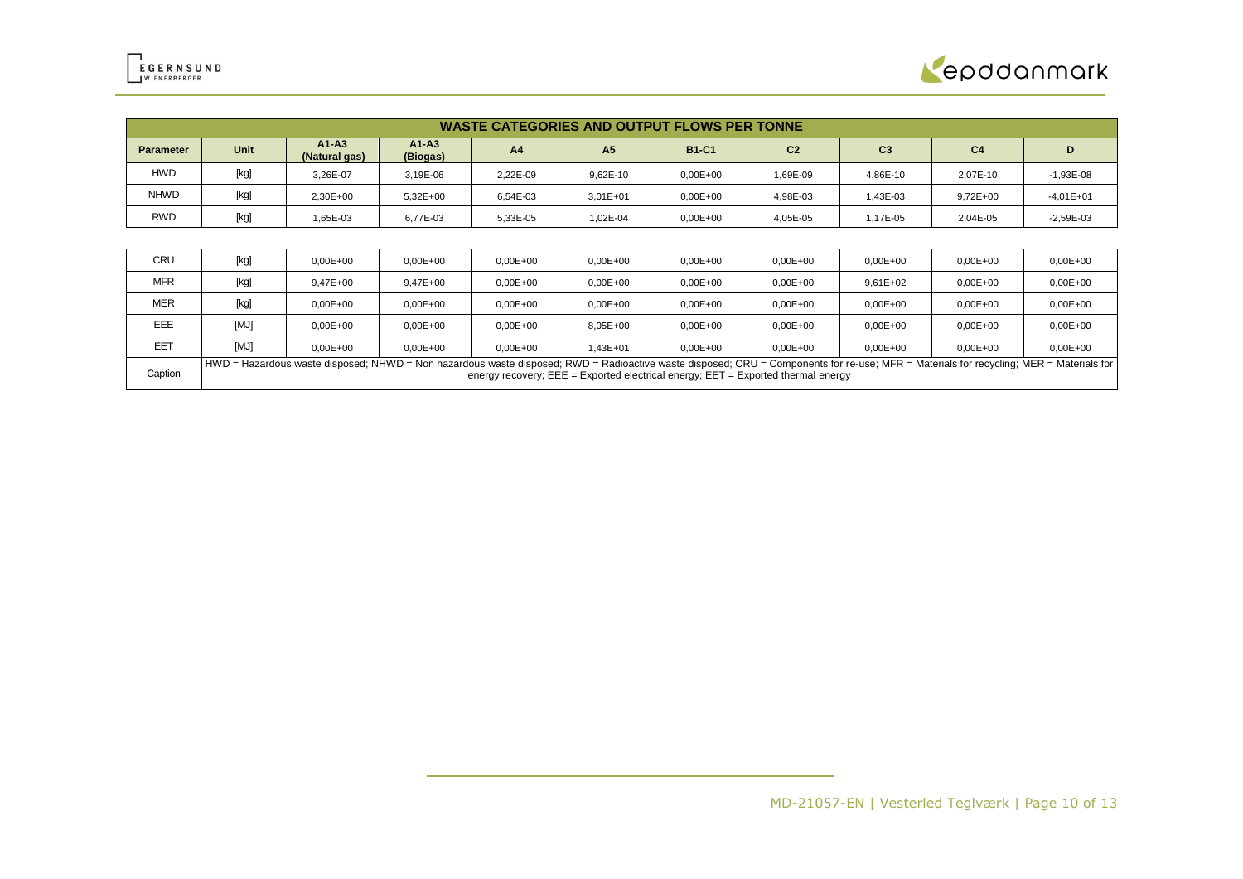

|                  | <b>WASTE CATEGORIES AND OUTPUT FLOWS PER TONNE</b> |                                                                                                                                                                                                                                                                                 |                       |                |                |              |                |                |                |              |  |
|------------------|----------------------------------------------------|---------------------------------------------------------------------------------------------------------------------------------------------------------------------------------------------------------------------------------------------------------------------------------|-----------------------|----------------|----------------|--------------|----------------|----------------|----------------|--------------|--|
| <b>Parameter</b> | Unit                                               | $A1-A3$<br>(Natural gas)                                                                                                                                                                                                                                                        | $A1 - A3$<br>(Biogas) | A <sub>4</sub> | A <sub>5</sub> | <b>B1-C1</b> | C <sub>2</sub> | C <sub>3</sub> | C <sub>4</sub> | D            |  |
| <b>HWD</b>       | [kg]                                               | 3.26E-07                                                                                                                                                                                                                                                                        | 3,19E-06              | 2,22E-09       | 9,62E-10       | $0,00E+00$   | 1,69E-09       | 4,86E-10       | 2,07E-10       | $-1,93E-08$  |  |
| <b>NHWD</b>      | [kg]                                               | 2,30E+00                                                                                                                                                                                                                                                                        | $5,32E+00$            | 6,54E-03       | $3.01E + 01$   | $0,00E+00$   | 4,98E-03       | 1,43E-03       | $9,72E+00$     | $-4,01E+01$  |  |
| RWD              | [kg]                                               | 1,65E-03                                                                                                                                                                                                                                                                        | 6,77E-03              | 5,33E-05       | 1,02E-04       | $0,00E+00$   | 4,05E-05       | 1,17E-05       | 2,04E-05       | $-2,59E-03$  |  |
|                  |                                                    |                                                                                                                                                                                                                                                                                 |                       |                |                |              |                |                |                |              |  |
| <b>CRU</b>       | [kg]                                               | $0.00E + 00$                                                                                                                                                                                                                                                                    | $0.00E + 00$          | $0.00E + 00$   | $0.00E + 00$   | $0.00E + 00$ | $0.00E + 00$   | $0,00E+00$     | $0,00E + 00$   | $0,00E + 00$ |  |
| <b>MFR</b>       | [kg]                                               | $9.47E + 00$                                                                                                                                                                                                                                                                    | $9.47E + 00$          | $0.00E + 00$   | $0,00E + 00$   | $0.00E + 00$ | $0.00E + 00$   | $9.61E + 02$   | $0,00E + 00$   | $0,00E + 00$ |  |
| <b>MER</b>       | [kg]                                               | $0,00E+00$                                                                                                                                                                                                                                                                      | $0,00E+00$            | $0.00E + 00$   | $0,00E + 00$   | $0.00E + 00$ | $0,00E+00$     | $0,00E+00$     | $0,00E + 00$   | $0,00E + 00$ |  |
| EEE              | [MJ]                                               | $0,00E+00$                                                                                                                                                                                                                                                                      | $0,00E+00$            | $0.00E + 00$   | 8,05E+00       | $0,00E+00$   | $0,00E+00$     | $0,00E+00$     | $0,00E + 00$   | $0,00E + 00$ |  |
| <b>EET</b>       | [MJ]                                               | $0.00E + 00$                                                                                                                                                                                                                                                                    | $0,00E+00$            | $0.00E + 00$   | 1,43E+01       | $0.00E + 00$ | $0,00E+00$     | $0,00E+00$     | $0,00E + 00$   | $0,00E + 00$ |  |
| Caption          |                                                    | HWD = Hazardous waste disposed; NHWD = Non hazardous waste disposed; RWD = Radioactive waste disposed; CRU = Components for re-use; MFR = Materials for recycling; MER = Materials for<br>energy recovery; $EEE = Exported electrical energy$ ; $EET = Exported thermal energy$ |                       |                |                |              |                |                |                |              |  |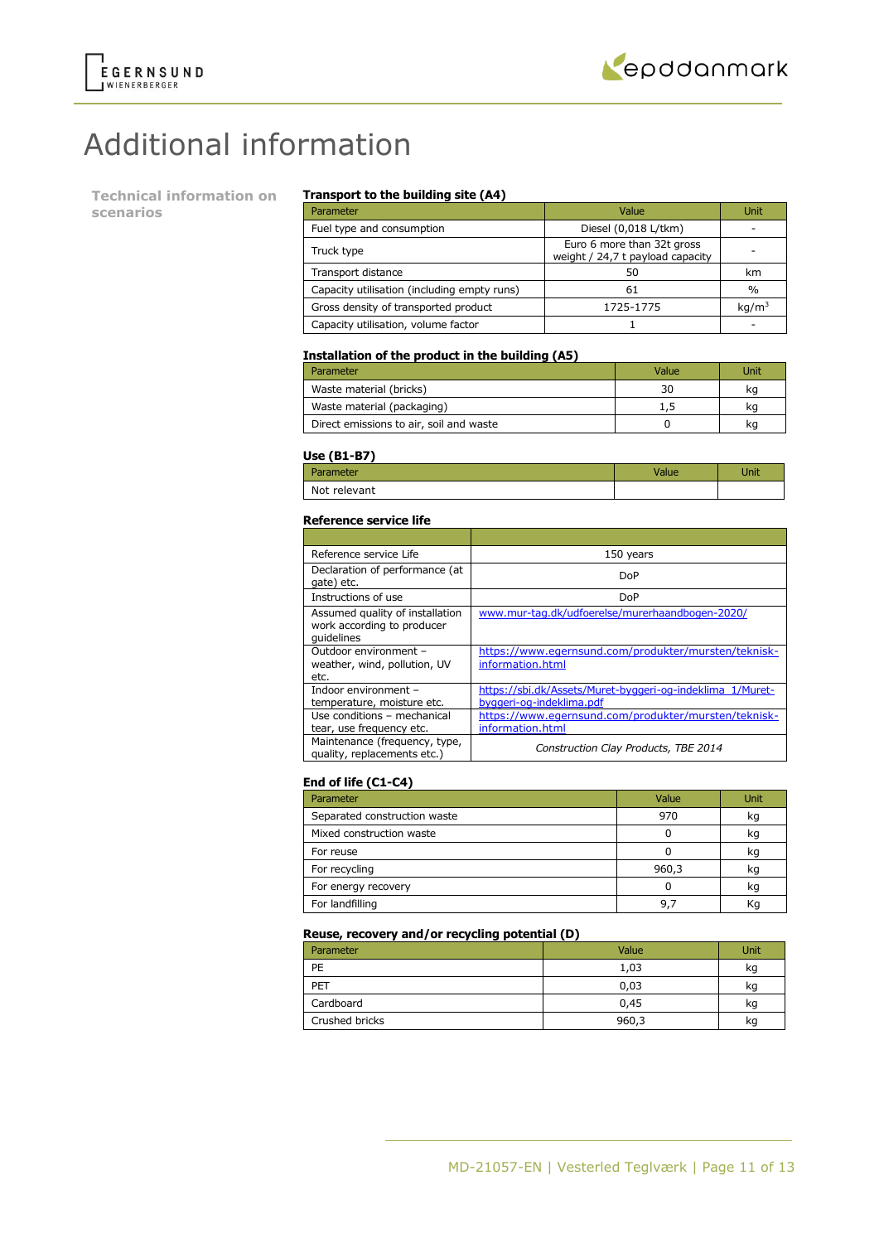

# Additional information

**Technical information on scenarios**

### **Transport to the building site (A4)**

| Parameter                                   | Value                                                          | Unit              |
|---------------------------------------------|----------------------------------------------------------------|-------------------|
| Fuel type and consumption                   | Diesel (0,018 L/tkm)                                           |                   |
| Truck type                                  | Euro 6 more than 32t gross<br>weight / 24,7 t payload capacity |                   |
| Transport distance                          | 50                                                             | km                |
| Capacity utilisation (including empty runs) | 61                                                             | $\frac{0}{0}$     |
| Gross density of transported product        | 1725-1775                                                      | kq/m <sup>3</sup> |
| Capacity utilisation, volume factor         |                                                                |                   |

### **Installation of the product in the building (A5)**

| Parameter                               | Value | Unit |
|-----------------------------------------|-------|------|
| Waste material (bricks)                 | 30    | kq   |
| Waste material (packaging)              | 1,5   | kq   |
| Direct emissions to air, soil and waste |       | kq   |

### **Use (B1-B7)**

| -----        |      |
|--------------|------|
| Parameter    | Jnit |
| Not relevant |      |

#### **Reference service life**

| Reference service Life                                                      | 150 years                                                                             |
|-----------------------------------------------------------------------------|---------------------------------------------------------------------------------------|
| Declaration of performance (at<br>gate) etc.                                | DoP                                                                                   |
| Instructions of use                                                         | DoP                                                                                   |
| Assumed quality of installation<br>work according to producer<br>quidelines | www.mur-tag.dk/udfoerelse/murerhaandbogen-2020/                                       |
| Outdoor environment -<br>weather, wind, pollution, UV<br>etc.               | https://www.egernsund.com/produkter/mursten/teknisk-<br>information.html              |
| Indoor environment -<br>temperature, moisture etc.                          | https://sbi.dk/Assets/Muret-byggeri-og-indeklima 1/Muret-<br>byggeri-og-indeklima.pdf |
| Use conditions - mechanical<br>tear, use frequency etc.                     | https://www.egernsund.com/produkter/mursten/teknisk-<br>information.html              |
| Maintenance (frequency, type,<br>quality, replacements etc.)                | Construction Clay Products, TBE 2014                                                  |

### **End of life (C1-C4)**

| Parameter                    | Value | <b>Unit</b> |
|------------------------------|-------|-------------|
| Separated construction waste | 970   | kg          |
| Mixed construction waste     |       | kq          |
| For reuse                    |       | kg          |
| For recycling                | 960,3 | kq          |
| For energy recovery          |       | kg          |
| For landfilling              | 9.    | Κq          |

### **Reuse, recovery and/or recycling potential (D)**

| Parameter      | Value | Unit |
|----------------|-------|------|
| PE             | 1,03  | kg   |
| PET            | 0,03  | kg   |
| Cardboard      | 0,45  | kg   |
| Crushed bricks | 960,3 | kg   |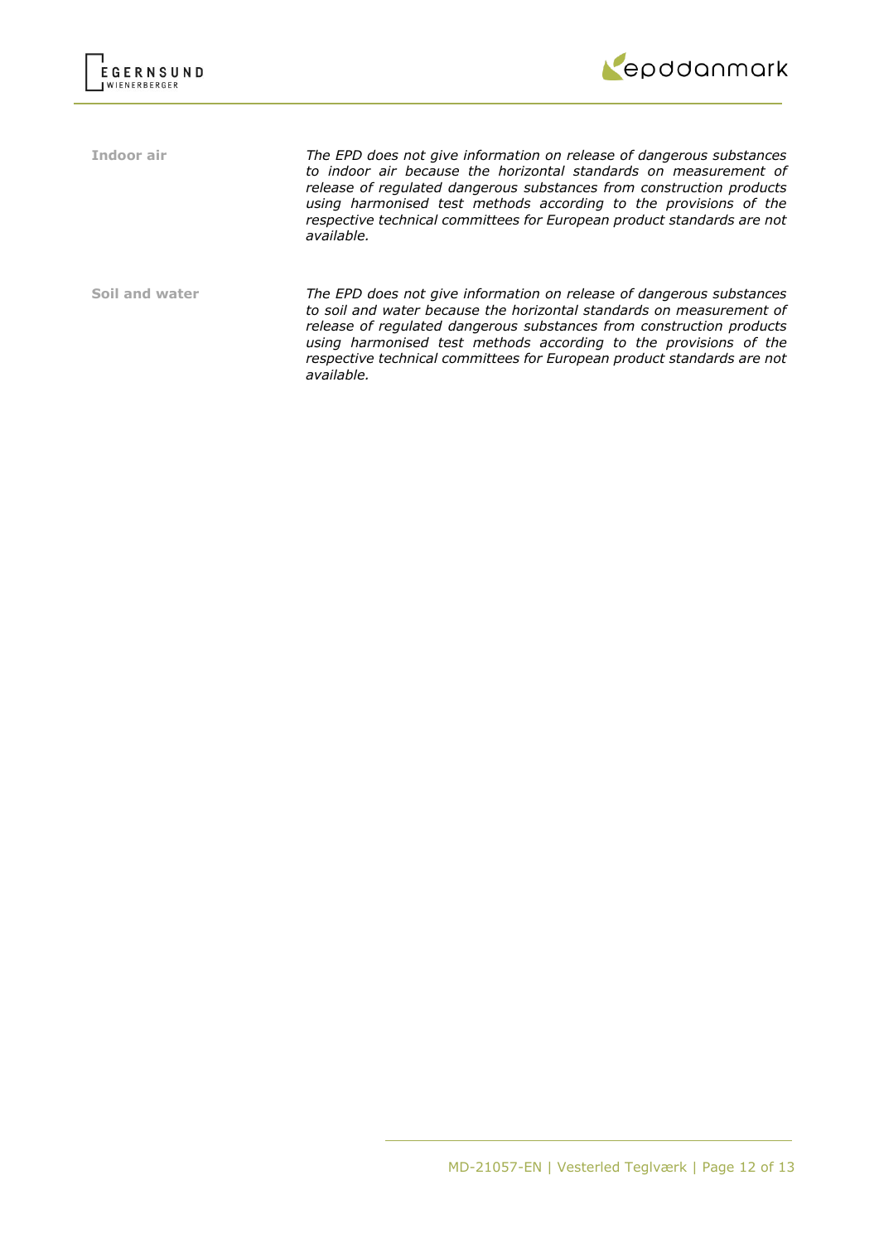



**Indoor air** *The EPD does not give information on release of dangerous substances to indoor air because the horizontal standards on measurement of release of regulated dangerous substances from construction products using harmonised test methods according to the provisions of the respective technical committees for European product standards are not available.*

**Soil and water** *The EPD does not give information on release of dangerous substances to soil and water because the horizontal standards on measurement of release of regulated dangerous substances from construction products using harmonised test methods according to the provisions of the respective technical committees for European product standards are not available.*